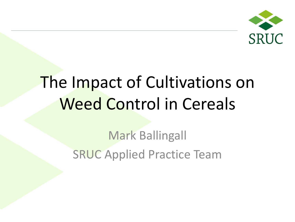

# The Impact of Cultivations on Weed Control in Cereals

Mark Ballingall SRUC Applied Practice Team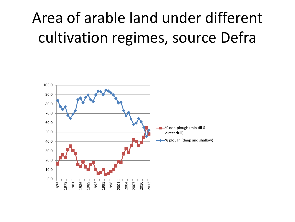# Area of arable land under different cultivation regimes, source Defra

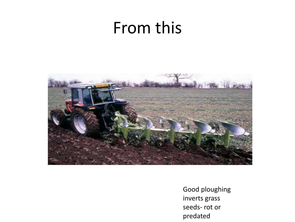## From this



Good ploughing inverts grass seeds- rot or predated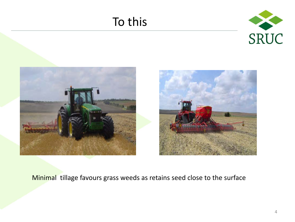### To this







#### Minimal tillage favours grass weeds as retains seed close to the surface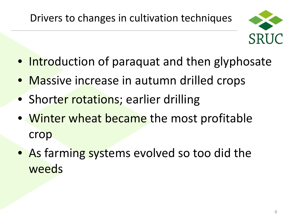

- Introduction of paraquat and then glyphosate
- Massive increase in autumn drilled crops
- Shorter rotations; earlier drilling
- Winter wheat became the most profitable crop
- As farming systems evolved so too did the weeds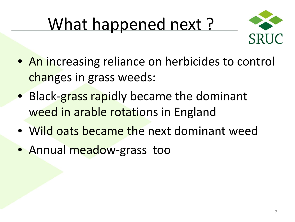# What happened next ?



- An increasing reliance on herbicides to control changes in grass weeds:
- Black-grass rapidly became the dominant weed in arable rotations in England
- Wild oats became the next dominant weed
- Annual meadow-grass too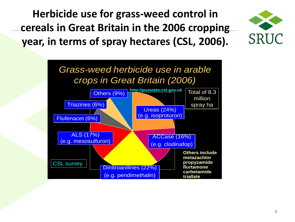**Herbicide use for grass-weed control in cereals in Great Britain in the 2006 cropping year, in terms of spray hectares (CSL, 2006).**



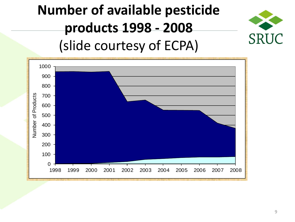## **Number of available pesticide products 1998 - 2008** (slide courtesy of ECPA)



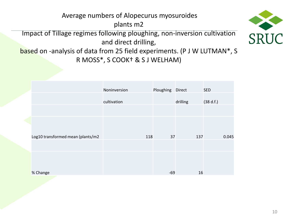#### Average numbers of Alopecurus myosuroides plants m2

Impact of Tillage regimes following ploughing, non-inversion cultivation and direct drilling,



based on -analysis of data from 25 field experiments. (P J W LUTMAN\*, S R MOSS\*, S COOK† & S J WELHAM)

|                                   | Noninversion | Ploughing | Direct   | <b>SED</b> |
|-----------------------------------|--------------|-----------|----------|------------|
|                                   | cultivation  |           | drilling | (38 d.f.)  |
|                                   |              |           |          |            |
|                                   |              |           |          |            |
| Log10 transformed mean (plants/m2 | 118          | 37        | 137      | 0.045      |
|                                   |              |           |          |            |
|                                   |              |           |          |            |
| % Change                          |              | $-69$     | 16       |            |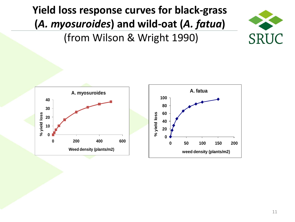**Yield loss response curves for black-grass (***A. myosuroides***) and wild-oat (***A. fatua***)** (from Wilson & Wright 1990)



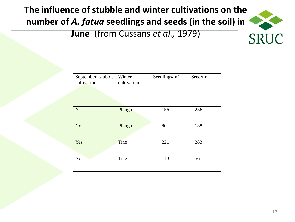### **The influence of stubble and winter cultivations on the number of** *A. fatua* **seedlings and seeds (in the soil) in**



| September stubble Winter<br>cultivation | cultivation | Seedlings/ $m^2$ | Seed/ $m2$ |  |
|-----------------------------------------|-------------|------------------|------------|--|
|                                         |             |                  |            |  |
| Yes                                     | Plough      | 156              | 256        |  |
| N <sub>o</sub>                          | Plough      | 80               | 138        |  |
| Yes                                     | Tine        | 221              | 283        |  |
| N <sub>o</sub>                          | Tine        | 110              | 56         |  |

**SRUC**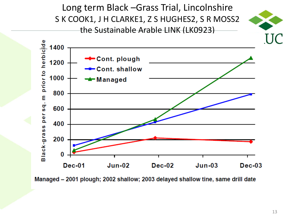Long term Black –Grass Trial, Lincolnshire S K COOK1, J H CLARKE1, Z S HUGHES2, S R MOSS2 the Sustainable Arable LINK (LK0923)





Managed - 2001 plough; 2002 shallow; 2003 delayed shallow tine, same drill date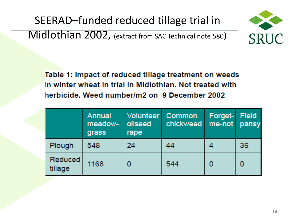SEERAD–funded reduced tillage trial in Midlothian 2002, (extract from SAC Technical note 580)



Table 1: Impact of reduced tillage treatment on weeds in winter wheat in trial in Midlothian. Not treated with herbicide. Weed number/m2 on 9 December 2002

|                    | Annual<br>meadow-<br>grass | Volunteer<br>oilseed<br>rape | Common<br>chickweed | Forget-<br>$me$ -not | Field<br>pansy |
|--------------------|----------------------------|------------------------------|---------------------|----------------------|----------------|
| Plough             | 548                        | 24                           | 44                  |                      | 36             |
| Reduced<br>tillage | 1168                       |                              | 544                 |                      | 0              |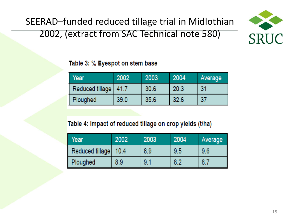SEERAD–funded reduced tillage trial in Midlothian 2002, (extract from SAC Technical note 580)



#### Table 3: % Eyespot on stem base

| Year            | 2002 | 2003 | 2004 | Average |
|-----------------|------|------|------|---------|
| Reduced tillage | 41.7 | 30.6 | 20.3 | 31      |
| Ploughed        | 39.0 | 35.6 | 32.6 | 37      |

#### Table 4: Impact of reduced tillage on crop yields (t/ha)

| Year            | 2002 | 2003 | 2004 | Average |
|-----------------|------|------|------|---------|
| Reduced tillage | 10.4 | 8.9  | 9.5  | 9.6     |
| Ploughed        | 8.9  | 9.1  | 8.2  | 8.7     |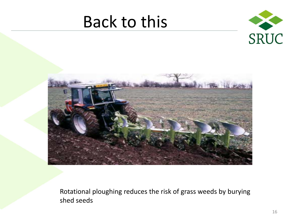# Back to this





Rotational ploughing reduces the risk of grass weeds by burying shed seeds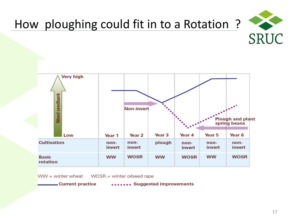

## How ploughing could fit in to a Rotation ?



 $WW =$  winter wheat  $WOSR =$  winter oilseed rape

Current practice

....... Suggested improvements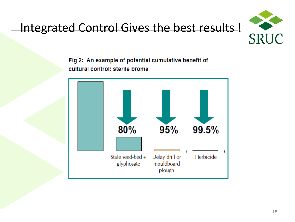

## Integrated Control Gives the best results !

Fig 2: An example of potential cumulative benefit of cultural control: sterile brome